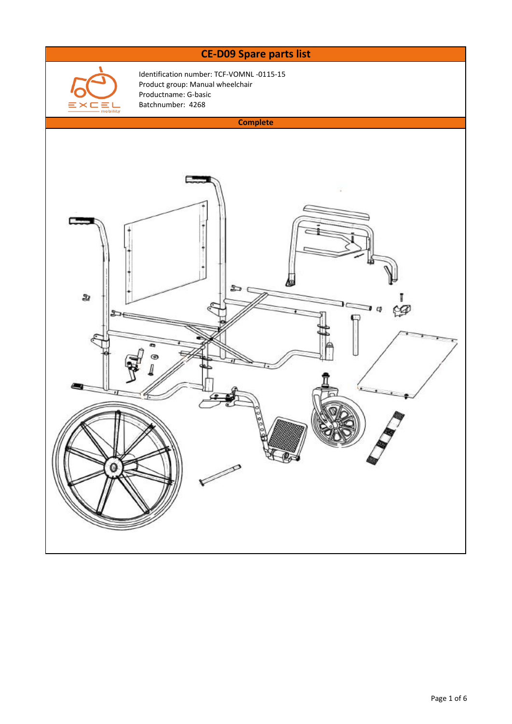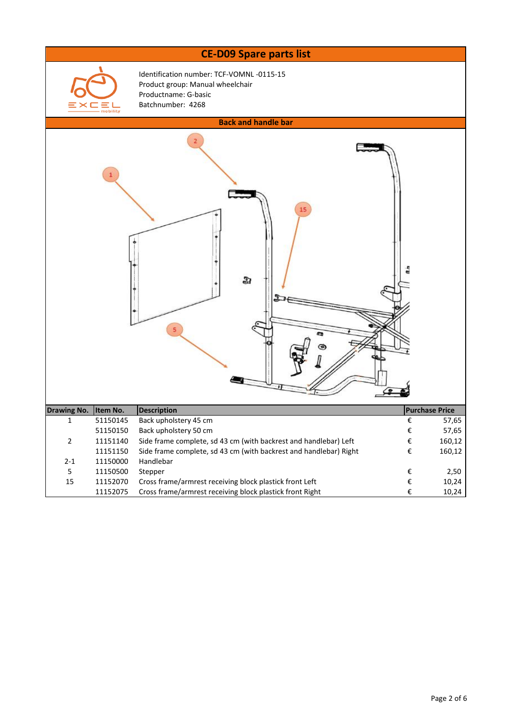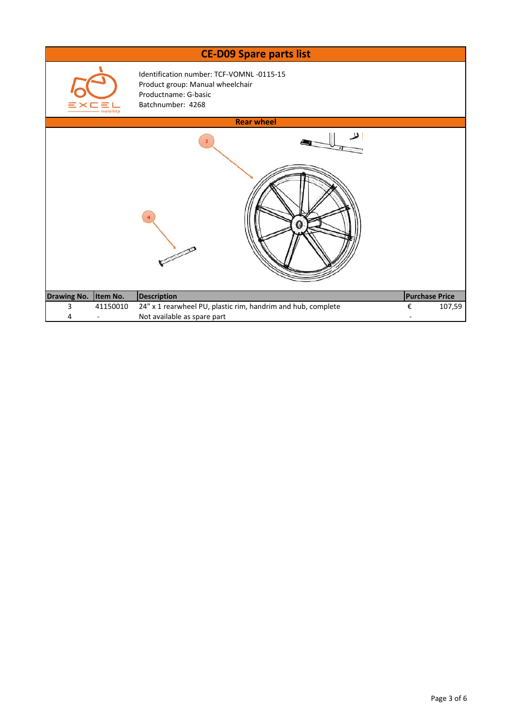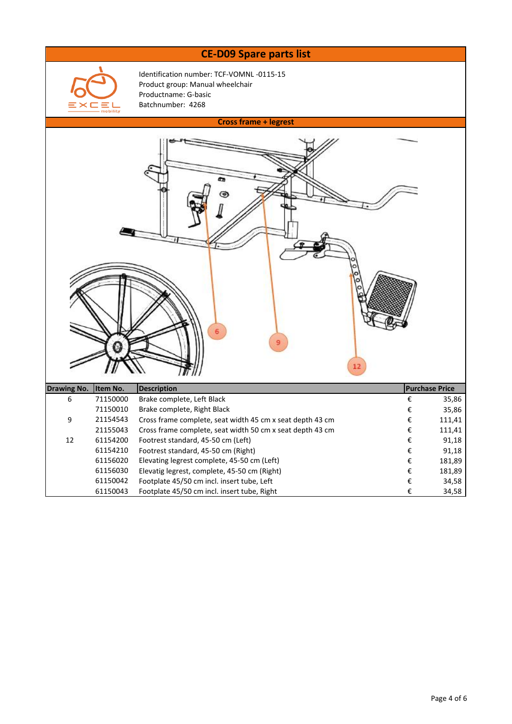## **CE-D09 Spare parts list**



Identification number: TCF-VOMNL -0115-15 Product group: Manual wheelchair Productname: G-basic Batchnumber: 4268

|                             |          | <b>Cross frame + legrest</b>                              |                         |                       |  |  |  |  |
|-----------------------------|----------|-----------------------------------------------------------|-------------------------|-----------------------|--|--|--|--|
| 6<br>9<br>$12 \overline{ }$ |          |                                                           |                         |                       |  |  |  |  |
| <b>Drawing No.</b>          | Item No. | <b>Description</b>                                        |                         | <b>Purchase Price</b> |  |  |  |  |
| 6                           | 71150000 | Brake complete, Left Black                                | €                       | 35,86                 |  |  |  |  |
|                             | 71150010 | Brake complete, Right Black                               | €                       | 35,86                 |  |  |  |  |
| 9                           | 21154543 | Cross frame complete, seat width 45 cm x seat depth 43 cm | €                       | 111,41                |  |  |  |  |
|                             | 21155043 | Cross frame complete, seat width 50 cm x seat depth 43 cm | $\boldsymbol{\epsilon}$ | 111,41                |  |  |  |  |
| 12                          | 61154200 | Footrest standard, 45-50 cm (Left)                        | $\boldsymbol{\epsilon}$ | 91,18                 |  |  |  |  |
|                             | 61154210 | Footrest standard, 45-50 cm (Right)                       | $\boldsymbol{\epsilon}$ | 91,18                 |  |  |  |  |
|                             | 61156020 | Elevating legrest complete, 45-50 cm (Left)               | $\boldsymbol{\epsilon}$ | 181,89                |  |  |  |  |
|                             | 61156030 | Elevatig legrest, complete, 45-50 cm (Right)              | $\boldsymbol{\epsilon}$ | 181,89                |  |  |  |  |
|                             | 61150042 | Footplate 45/50 cm incl. insert tube, Left                | $\boldsymbol{\epsilon}$ | 34,58                 |  |  |  |  |
|                             | 61150043 | Footplate 45/50 cm incl. insert tube, Right               | $\boldsymbol{\epsilon}$ | 34,58                 |  |  |  |  |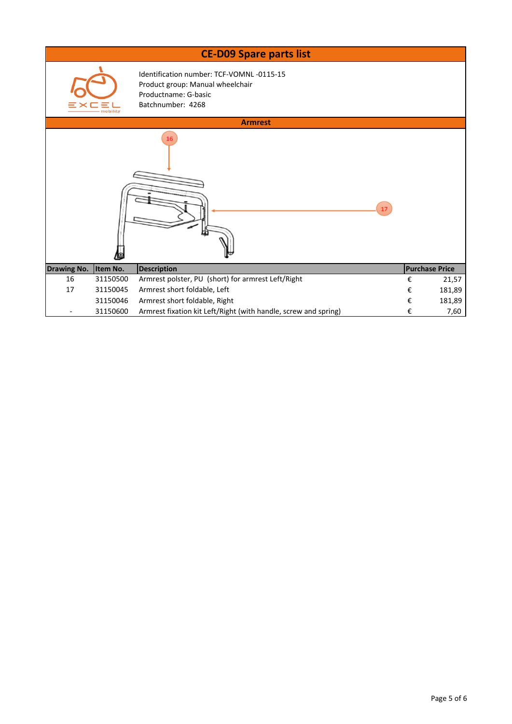|                    |          | <b>CE-D09 Spare parts list</b>                                                                                            |    |   |                       |  |  |  |  |  |
|--------------------|----------|---------------------------------------------------------------------------------------------------------------------------|----|---|-----------------------|--|--|--|--|--|
|                    | mobilitv | Identification number: TCF-VOMNL-0115-15<br>Product group: Manual wheelchair<br>Productname: G-basic<br>Batchnumber: 4268 |    |   |                       |  |  |  |  |  |
| <b>Armrest</b>     |          |                                                                                                                           |    |   |                       |  |  |  |  |  |
|                    |          | 16                                                                                                                        | 17 |   |                       |  |  |  |  |  |
| <b>Drawing No.</b> | Item No. | <b>Description</b>                                                                                                        |    |   | <b>Purchase Price</b> |  |  |  |  |  |
| 16                 | 31150500 | Armrest polster, PU (short) for armrest Left/Right                                                                        |    | € | 21,57                 |  |  |  |  |  |
| 17                 | 31150045 | Armrest short foldable, Left                                                                                              |    | € | 181,89                |  |  |  |  |  |
|                    | 31150046 | Armrest short foldable, Right                                                                                             |    | € | 181,89                |  |  |  |  |  |
|                    | 31150600 | Armrest fixation kit Left/Right (with handle, screw and spring)                                                           |    | € | 7,60                  |  |  |  |  |  |